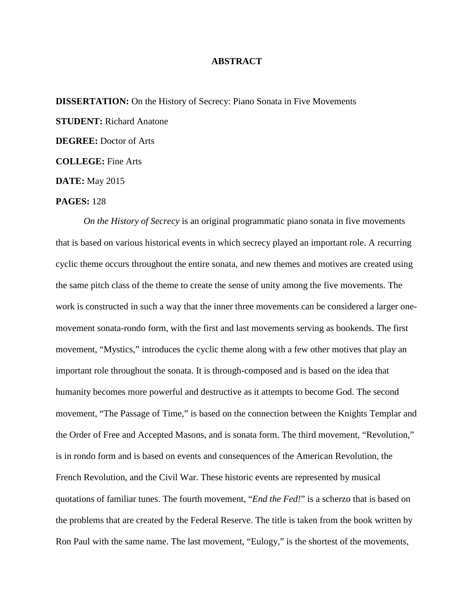## **ABSTRACT**

**DISSERTATION:** On the History of Secrecy: Piano Sonata in Five Movements **STUDENT:** Richard Anatone **DEGREE:** Doctor of Arts **COLLEGE:** Fine Arts **DATE:** May 2015

## **PAGES:** 128

*On the History of Secrecy* is an original programmatic piano sonata in five movements that is based on various historical events in which secrecy played an important role. A recurring cyclic theme occurs throughout the entire sonata, and new themes and motives are created using the same pitch class of the theme to create the sense of unity among the five movements. The work is constructed in such a way that the inner three movements can be considered a larger onemovement sonata-rondo form, with the first and last movements serving as bookends. The first movement, "Mystics," introduces the cyclic theme along with a few other motives that play an important role throughout the sonata. It is through-composed and is based on the idea that humanity becomes more powerful and destructive as it attempts to become God. The second movement, "The Passage of Time," is based on the connection between the Knights Templar and the Order of Free and Accepted Masons, and is sonata form. The third movement, "Revolution," is in rondo form and is based on events and consequences of the American Revolution, the French Revolution, and the Civil War. These historic events are represented by musical quotations of familiar tunes. The fourth movement, "*End the Fed!*" is a scherzo that is based on the problems that are created by the Federal Reserve. The title is taken from the book written by Ron Paul with the same name. The last movement, "Eulogy," is the shortest of the movements,